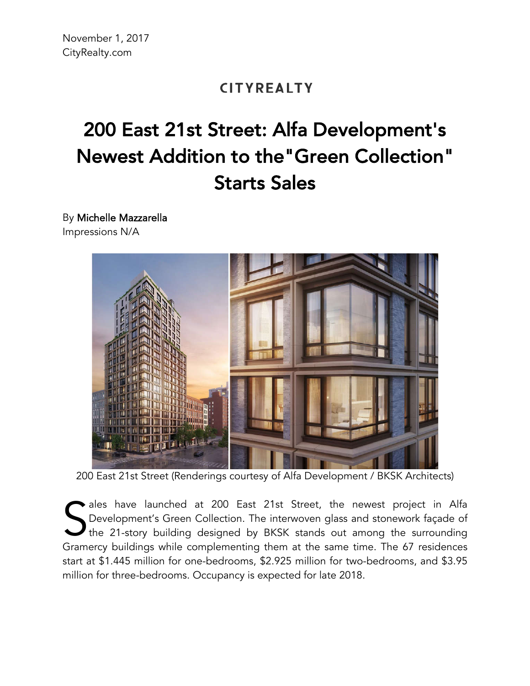## **CITYREALTY**

## 200 East 21st Street: Alfa Development's Newest Addition to the"Green Collection" Starts Sales

By Michelle Mazzarella Impressions N/A



200 East 21st Street (Renderings courtesy of Alfa Development / BKSK Architects)

ales have launched at 200 East 21st Street, the newest project in Alfa Development's Green Collection. The interwoven glass and stonework façade of the 21-story building designed by BKSK stands out among the surrounding Gramercy buildings while complementing them at the same time. The 67 residences Gramercy buildings while complementing them at the same time. The 67 residences Gramercy buildings while complementing them at the same time. start at \$1.445 million for one-bedrooms, \$2.925 million for two-bedrooms, and \$3.95 million for three-bedrooms. Occupancy is expected for late 2018.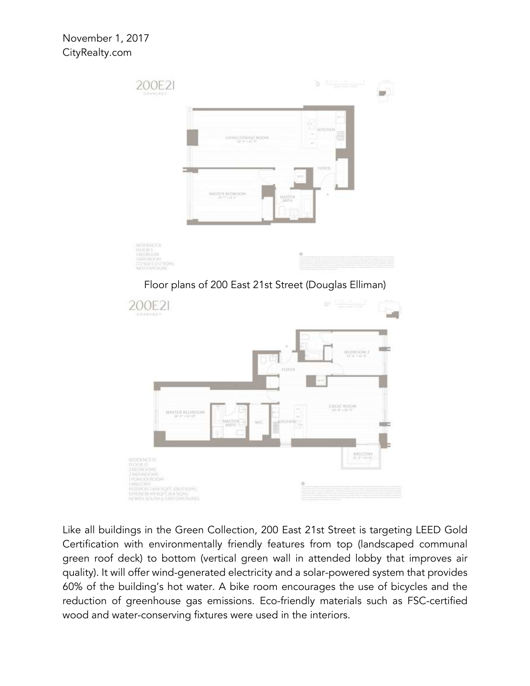

Like all buildings in the Green Collection, 200 East 21st Street is targeting LEED Gold Certification with environmentally friendly features from top (landscaped communal green roof deck) to bottom (vertical green wall in attended lobby that improves air quality). It will offer wind-generated electricity and a solar-powered system that provides 60% of the building's hot water. A bike room encourages the use of bicycles and the reduction of greenhouse gas emissions. Eco-friendly materials such as FSC-certified wood and water-conserving fixtures were used in the interiors.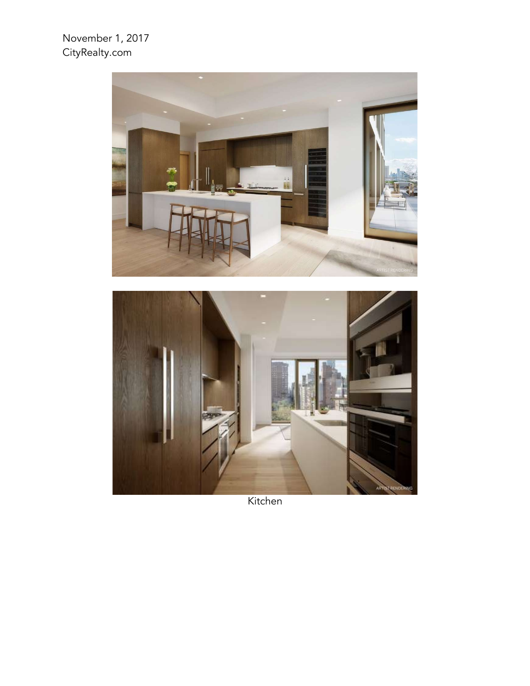## November 1, 2017 CityRealty.com



Kitchen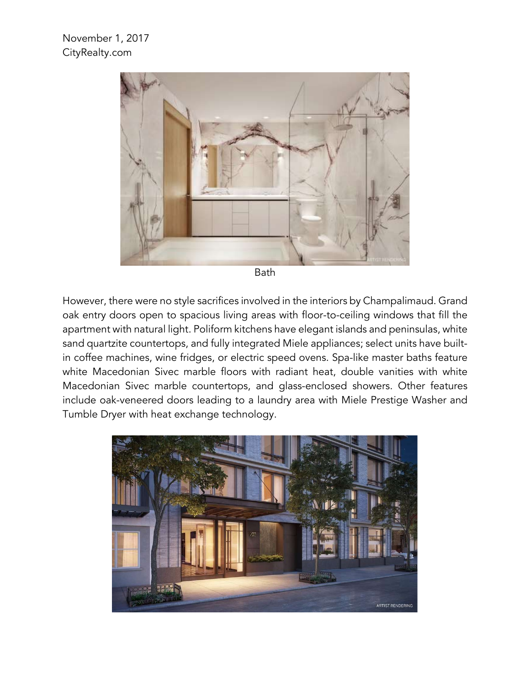

Bath

However, there were no style sacrifices involved in the interiors by Champalimaud. Grand oak entry doors open to spacious living areas with floor-to-ceiling windows that fill the apartment with natural light. Poliform kitchens have elegant islands and peninsulas, white sand quartzite countertops, and fully integrated Miele appliances; select units have builtin coffee machines, wine fridges, or electric speed ovens. Spa-like master baths feature white Macedonian Sivec marble floors with radiant heat, double vanities with white Macedonian Sivec marble countertops, and glass-enclosed showers. Other features include oak-veneered doors leading to a laundry area with Miele Prestige Washer and Tumble Dryer with heat exchange technology.

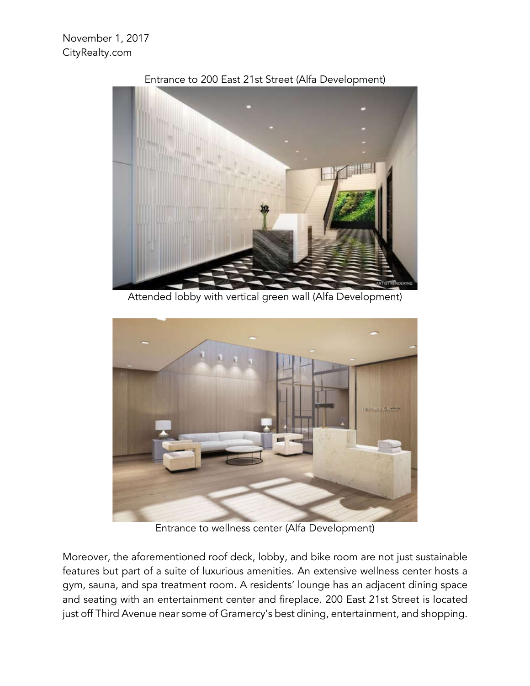

Entrance to 200 East 21st Street (Alfa Development)

Attended lobby with vertical green wall (Alfa Development)



Entrance to wellness center (Alfa Development)

Moreover, the aforementioned roof deck, lobby, and bike room are not just sustainable features but part of a suite of luxurious amenities. An extensive wellness center hosts a gym, sauna, and spa treatment room. A residents' lounge has an adjacent dining space and seating with an entertainment center and fireplace. 200 East 21st Street is located just off Third Avenue near some of Gramercy's best dining, entertainment, and shopping.